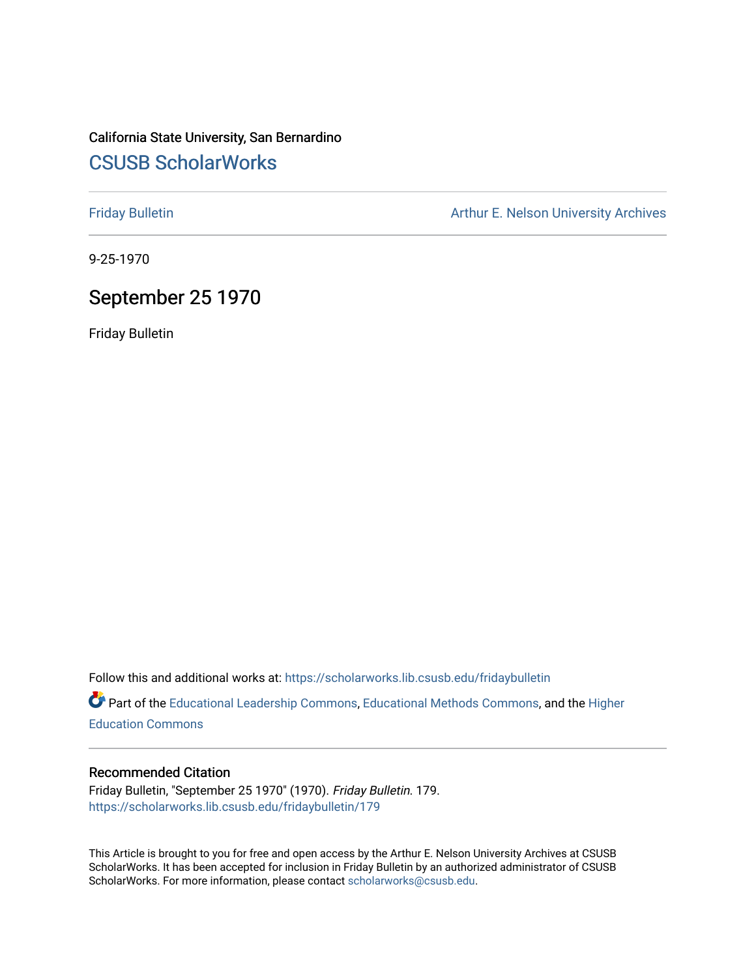## California State University, San Bernardino [CSUSB ScholarWorks](https://scholarworks.lib.csusb.edu/)

[Friday Bulletin](https://scholarworks.lib.csusb.edu/fridaybulletin) **Arthur E. Nelson University Archives** Arthur E. Nelson University Archives

9-25-1970

### September 25 1970

Friday Bulletin

Follow this and additional works at: [https://scholarworks.lib.csusb.edu/fridaybulletin](https://scholarworks.lib.csusb.edu/fridaybulletin?utm_source=scholarworks.lib.csusb.edu%2Ffridaybulletin%2F179&utm_medium=PDF&utm_campaign=PDFCoverPages)

Part of the [Educational Leadership Commons,](http://network.bepress.com/hgg/discipline/1230?utm_source=scholarworks.lib.csusb.edu%2Ffridaybulletin%2F179&utm_medium=PDF&utm_campaign=PDFCoverPages) [Educational Methods Commons,](http://network.bepress.com/hgg/discipline/1227?utm_source=scholarworks.lib.csusb.edu%2Ffridaybulletin%2F179&utm_medium=PDF&utm_campaign=PDFCoverPages) and the [Higher](http://network.bepress.com/hgg/discipline/1245?utm_source=scholarworks.lib.csusb.edu%2Ffridaybulletin%2F179&utm_medium=PDF&utm_campaign=PDFCoverPages) [Education Commons](http://network.bepress.com/hgg/discipline/1245?utm_source=scholarworks.lib.csusb.edu%2Ffridaybulletin%2F179&utm_medium=PDF&utm_campaign=PDFCoverPages) 

#### Recommended Citation

Friday Bulletin, "September 25 1970" (1970). Friday Bulletin. 179. [https://scholarworks.lib.csusb.edu/fridaybulletin/179](https://scholarworks.lib.csusb.edu/fridaybulletin/179?utm_source=scholarworks.lib.csusb.edu%2Ffridaybulletin%2F179&utm_medium=PDF&utm_campaign=PDFCoverPages)

This Article is brought to you for free and open access by the Arthur E. Nelson University Archives at CSUSB ScholarWorks. It has been accepted for inclusion in Friday Bulletin by an authorized administrator of CSUSB ScholarWorks. For more information, please contact [scholarworks@csusb.edu.](mailto:scholarworks@csusb.edu)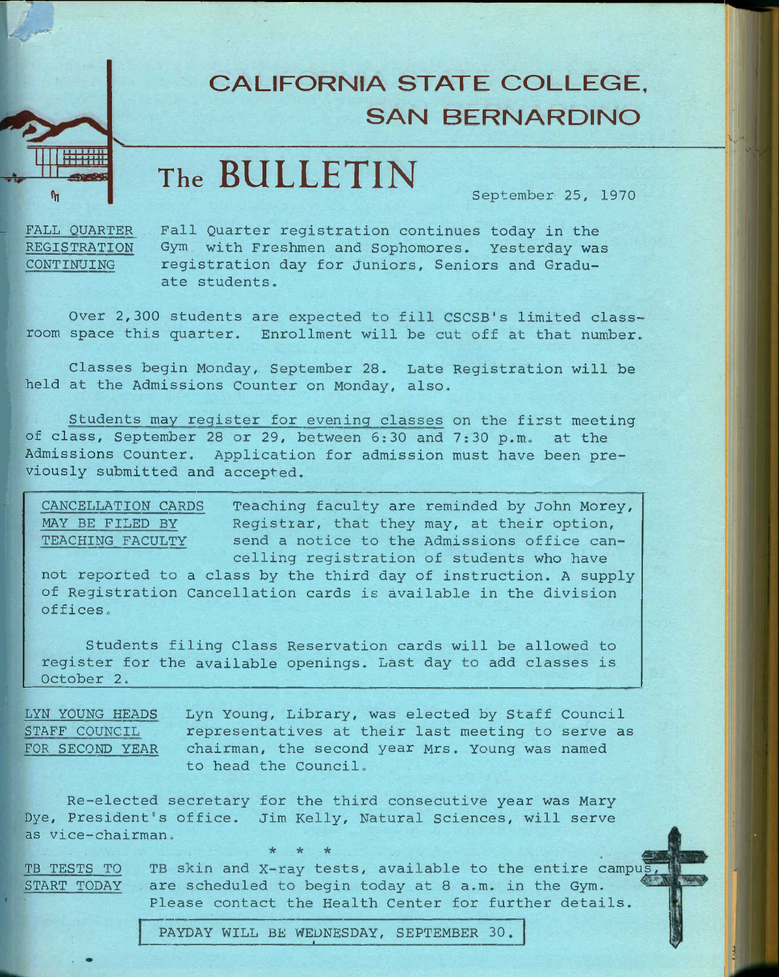## **CALIFORNIA STATE COLLEGE, SAN BERNARDINO**

# **The BULLETIN**

**September 25, 1970** 

**FALL QUARTER REGISTRATION CONTINUING** 

**lyi** 

**Fall Quarter registration continues today in the Gym with Freshmen and Sophomores. Yesterday was registration day for juniors. Seniors and Graduate students.** 

**Over 2,300 students are expected to fill CSCSB's limited classroom space this quarter. Enrollment will be cut off at that number.** 

**Classes begin Monday, September 28. Late Registration will be held at the Admissions Counter on Monday, also.** 

**Students may register for evening classes on the first meeting of class, September 28 or 29, between 5:30 and 7:30 p.m. at the Admissions Counter. Application for admission must have been previously submitted and accepted.** 

**CANCELLATION CARDS Teaching faculty are reminded by John Morey, MAY BE FILED BY Registrar, that they may, at their option, TEACHING FACULTY send a notice to the Admissions office cancelling registration of students who have** 

**not reported to a class by the third day of instruction. A supply of Registration Cancellation cards is available in the division offices.** 

**Students filing Class Reservation cards will be allowed to register for the available openings. Last day to add classes is October 2.** 

**LYN YOUNG HEADS Lyn Young, Library, was elected by Staff Council STAFF COUNCIL representatives at their last meeting to serve as FOR SECOND YEAR chairman, the second year Mrs. Young was named to head the Council.** 

**Re-elected secretary for the third consecutive year was Mary Dye, President's office. Jim Kelly, Natural Sciences, will serve as Vice-chairman. \* \* \* ^** 

**TB TESTS TO TB skin and X-ray tests, available to the entire campus START TODAY are scheduled to begin today at 8 a.m. in the Gym. Please contact the Health Center for further details.** 

**PAYDAY WILL BE WEDNESDAY, SEPTEMBER 30.**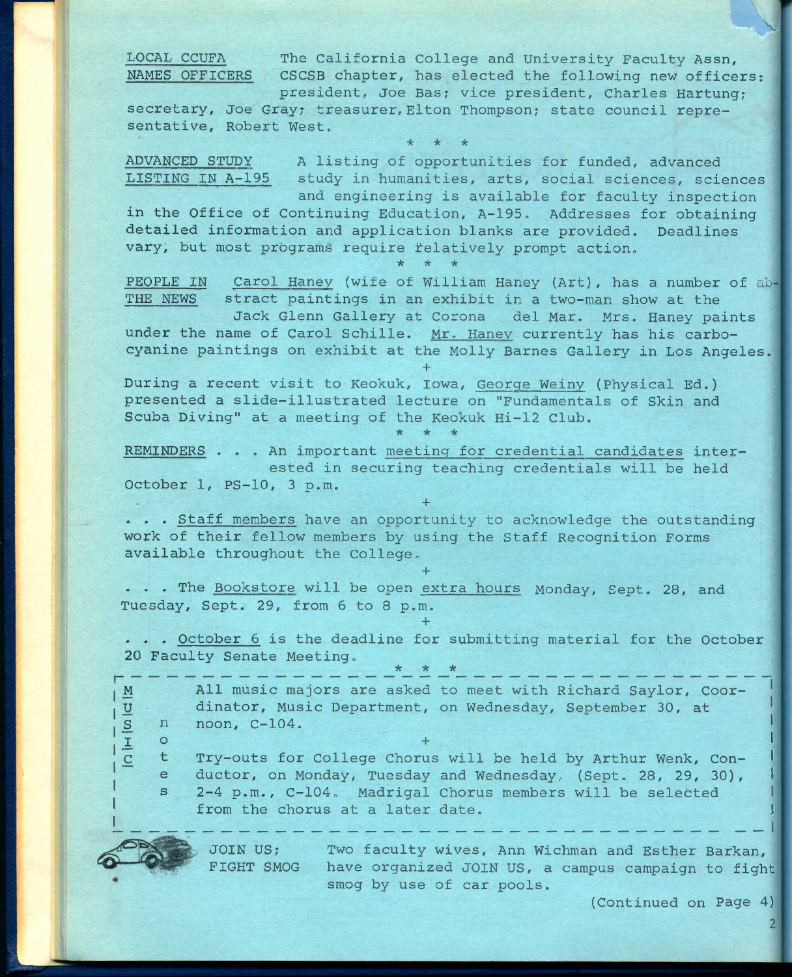**LOCAL CCUFA The California College and University Faculty Assn, NAMES OFFICERS CSCSB chapter, has elected the following new officers:** 

**president, Joe Bas; vice president, Charles Hartung? secretary, Joe Gray; treasurer,Elton Thompson; state council representative, Robert West.** 

**\* \* \*** 

**ADVANCED STUDY A listing of opportunities for funded, advanced LISTING IN A-195 study in humanities, arts, social sciences, sciences and engineering is available for faculty inspection** 

**in the Office of Continuing Education, A-195. Addresses for obtaining detailed information and application blanks are provided. Deadlines vary, but most programs require telatively prompt action. \* \* \*** 

**PEOPLE IN Carol Haney (wife of William Haney (Art), has a number of ah THE NEWS stract paintings in an exhibit in a two-man show at the** 

**Jack Glenn Gallery at Corona del Mar. Mrs. Haney paints under the name of Carol Schille. Mr. Haney currently has his carbocyanine paintings on exhibit at the Molly Barnes Gallery in Los Angeles.** 

**During a recent visit to Keokuk, Iowa, George Weiny (Physical Ed.) presented a slide-illustrated lecture on "Fundamentals of Skin and Scuba Diving" at a meeting of the Keokuk Hi-12 Club.** 

**+** 

**REMINDERS** . . . An important meeting for credential candidates inter**ested in securing teaching credentials will be held | October 1, PS-10, 3 p.m.** 

**+** 

**\* \* \*** 

**. . . Staff members have an opportunity to acknowledge the outstanding**  work of their fellow members by using the Staff Recognition Forms **available throughout the College.** 

**. . . The Bookstore will be open extra hours Monday, Sept. 28, and Tuesday, Sept. 29, from 6 to 8 p.m.** 

**+** 

**+** 

**. . . October 6 is the deadline for submitting material for the October 20 Faculty Senate Meeting, \* \* \*** 

**M All music majors are asked to meet with Richard Saylor, Coor-**U dinator, Music Department, on Wednesday, September 30, at <br>
<u>E</u> n noon, C-104.<br>  $\frac{1}{1}$  o **\_S noon, C-104.**   $\mathbf{I}$  of  $\mathbf{I}$  of  $\mathbf{I}$  of  $\mathbf{I}$  ,  $\mathbf{I}$  and  $\mathbf{I}$  and  $\mathbf{I}$  and  $\mathbf{I}$  and  $\mathbf{I}$  and  $\mathbf{I}$  and  $\mathbf{I}$  and  $\mathbf{I}$  and  $\mathbf{I}$  and  $\mathbf{I}$  and  $\mathbf{I}$  and  $\mathbf{I}$  and  $\mathbf{I}$  and  $\mathbf{$ 

**\_C t Try-outs for College Chorus will be held by Arthur Wenk, Con- <sup>I</sup>** e ductor, on Monday, Tuesday and Wednesday, (Sept. 28, 29, 30), **s 2-4 p.m., C-104. Madrigal Chorus members will be selected**  from the chorus at a later date.

**JOIN US; Two faculty wives, Ann Wichman and Esther Barkan, FIGHT SMOG have organized JOIN US, a campus campaign to fight smog by use of car pools.** 

**(Continued on Page 4)**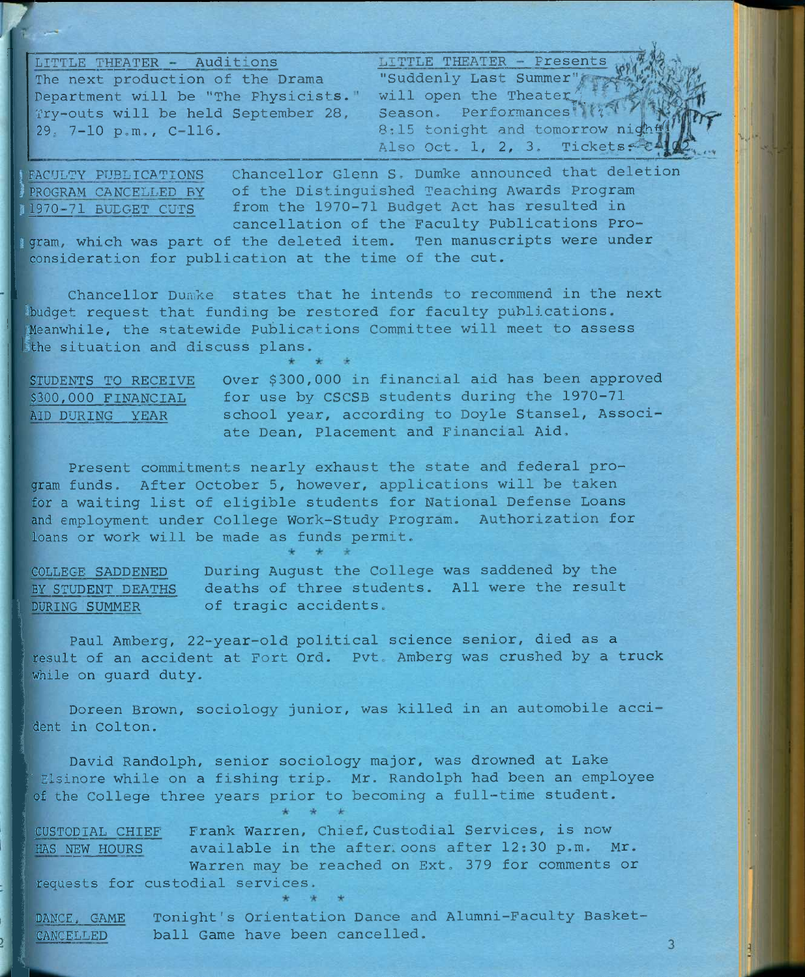**LITTLE THEATER Auditions** JITTLE THEATER **Presents The next production of the Drama Department will be "The Physicists. Try-outs will be held September 28, 29, 7-10 p.m., C-116.** 

**"Suddenly Last Summer"**  will open the Theater; Season. Performances  $\mathcal{N}(4)$ 8:15 tonight and tomorrow night Also Oct. 1, 2, 3. Tickets.

FACULTY PUBLICATIONS PROGRAM CANCELLED BY 1970-71 BUDGET CUTS

**Chancellor Glenn S. Dumke announced that deletion of the Distinguished Teaching Awards Program from the 1970-71 Budget Act has resulted in cancellation of the Faculty Publications Pro-**

**1 gram, which was part of the deleted item. Ten manuscripts were under consideration for publication at the time of the cut.** 

**Chancellor Dunike states that he intends to recommend in the next ibudget request that funding be restored for faculty publications. IMeanwhile, the statewide Publications Committee will meet to assess tthe situation and discuss plans.** 

**STUDEOTS** TO **RECEIVE \$300,000 FINANCIAL AID DURING YEAR** 

**Over \$300,000 in financial aid has been approved for use by CSCSB students during the 1970-71 school year, according to Doyle Stansel, Associate Dean, Placement and Financial Aid.** 

**Present commitments nearly exhaust the state and federal program funds. After October 5, however, applications will be taken for a waiting list of eligible students for National Defense Loans and employment under College Work-Study Program. Authorization for loans or work will be made as funds permit.** 

**COLLEGE SADDENED BY STUDENT DEATHS DURING SUMMER During August the College was saddened by the deaths of three students. All were the result of tragic accidents.** 

**Paul Amberg, 22-year-old political science senior, died as a result of an accident at Fort Ord. Pvt. Amberg was crushed by a truck while on guard duty.** 

**Doreen Brown, sociology junior, was killed in an automobile accident in Colton.** 

**David Randolph, senior sociology major, was drowned at Lake • Elsinore while on a fishing trip, Mr. Randolph had been an employee of the College three years prior to becoming a full-time student.** 

**CUSTODIAL CHIEF Frank Warren, Chief,Custodial Services, is now HAS NEW HOURS available in the after:oons after 12:30 p.m. Mr. Warren may be reached on Ext. 379 for comments or requests for custodial services.** 

**DANCE. GAME Tonight's Orientation Dance and Alumni-Faculty Basket-CANCELLED ball Game have been cancelled.** 

3